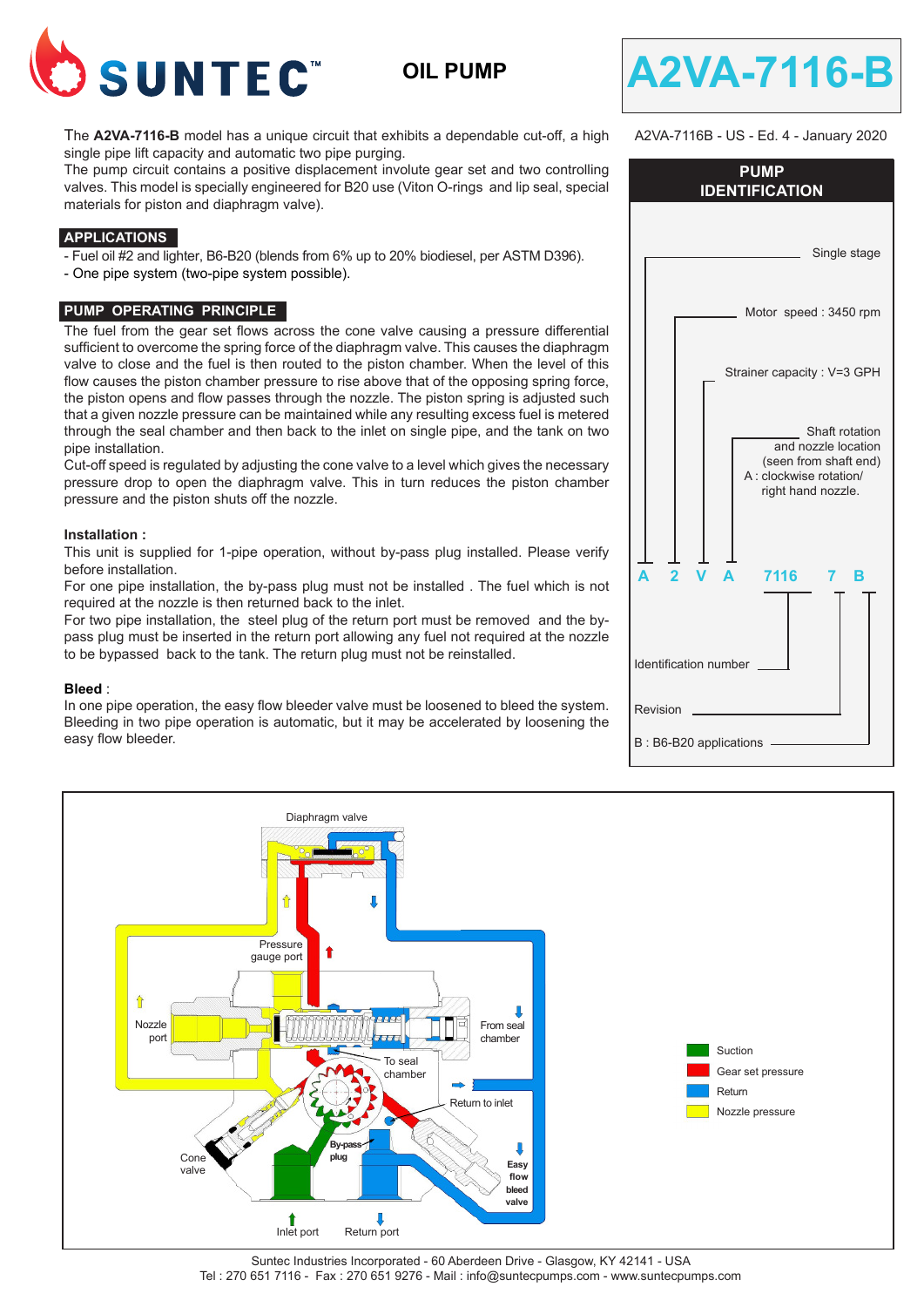

**OIL PUMP**



A2VA-7116B - US - Ed. 4 - January 2020

The **A2VA-7116-B** model has a unique circuit that exhibits a dependable cut-off, a high single pipe lift capacity and automatic two pipe purging.

The pump circuit contains a positive displacement involute gear set and two controlling valves. This model is specially engineered for B20 use (Viton O-rings and lip seal, special materials for piston and diaphragm valve).

### **APPLICATIONS**

- Fuel oil #2 and lighter, B6-B20 (blends from 6% up to 20% biodiesel, per ASTM D396).

- One pipe system (two-pipe system possible).

### **PUMP OPERATING PRINCIPLE**

The fuel from the gear set flows across the cone valve causing a pressure differential sufficient to overcome the spring force of the diaphragm valve. This causes the diaphragm valve to close and the fuel is then routed to the piston chamber. When the level of this flow causes the piston chamber pressure to rise above that of the opposing spring force, the piston opens and flow passes through the nozzle. The piston spring is adjusted such that a given nozzle pressure can be maintained while any resulting excess fuel is metered through the seal chamber and then back to the inlet on single pipe, and the tank on two pipe installation.

Cut-off speed is regulated by adjusting the cone valve to a level which gives the necessary pressure drop to open the diaphragm valve. This in turn reduces the piston chamber pressure and the piston shuts off the nozzle.

### **Installation :**

This unit is supplied for 1-pipe operation, without by-pass plug installed. Please verify before installation.

For one pipe installation, the by-pass plug must not be installed . The fuel which is not required at the nozzle is then returned back to the inlet.

For two pipe installation, the steel plug of the return port must be removed and the bypass plug must be inserted in the return port allowing any fuel not required at the nozzle to be bypassed back to the tank. The return plug must not be reinstalled.

#### **Bleed** :

In one pipe operation, the easy flow bleeder valve must be loosened to bleed the system. Bleeding in two pipe operation is automatic, but it may be accelerated by loosening the easy flow bleeder.